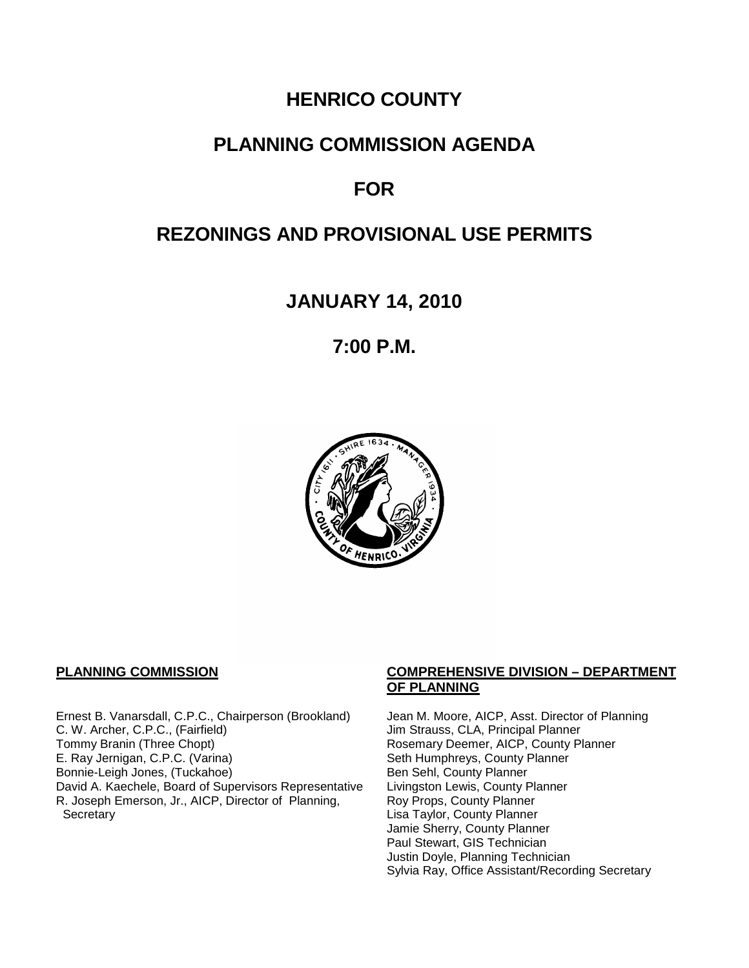# **HENRICO COUNTY**

# **PLANNING COMMISSION AGENDA**

# **FOR**

# **REZONINGS AND PROVISIONAL USE PERMITS**

**JANUARY 14, 2010**

**7:00 P.M.**



Ernest B. Vanarsdall, C.P.C., Chairperson (Brookland) Jean M. Moore, AICP, Asst. Director of Planning<br>C. W. Archer, C.P.C., (Fairfield) Jim Strauss, CLA, Principal Planner C. W. Archer, C.P.C., (Fairfield) Jim Strauss, CLA, Principal Planner<br>
Tommy Branin (Three Chopt) Strauss, CLA, Principal Planner<br>
Rosemary Deemer, AICP, County P E. Ray Jernigan, C.P.C. (Varina) Seth Humphreys, County Planner<br>Bonnie-Leigh Jones, (Tuckahoe) Sen Sehl, County Planner Bonnie-Leigh Jones, (Tuckahoe)<br>David A. Kaechele, Board of Supervisors Representative Livingston Lewis, County Planner David A. Kaechele, Board of Supervisors Representative R. Joseph Emerson, Jr., AICP, Director of Planning, **Secretary** 

#### **PLANNING COMMISSION COMPREHENSIVE DIVISION – DEPARTMENT OF PLANNING**

Rosemary Deemer, AICP, County Planner Roy Props, County Planner Lisa Taylor, County Planner Jamie Sherry, County Planner Paul Stewart, GIS Technician Justin Doyle, Planning Technician Sylvia Ray, Office Assistant/Recording Secretary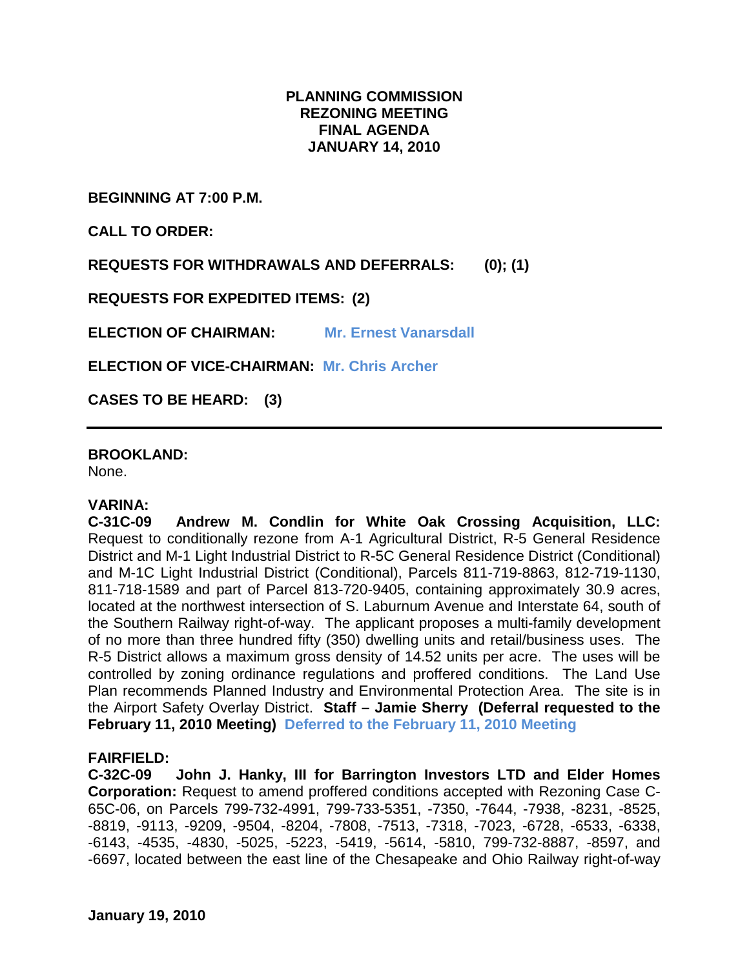## **PLANNING COMMISSION REZONING MEETING FINAL AGENDA JANUARY 14, 2010**

**BEGINNING AT 7:00 P.M.**

**CALL TO ORDER:**

**REQUESTS FOR WITHDRAWALS AND DEFERRALS: (0); (1)**

**REQUESTS FOR EXPEDITED ITEMS: (2)**

**ELECTION OF CHAIRMAN: Mr. Ernest Vanarsdall**

**ELECTION OF VICE-CHAIRMAN: Mr. Chris Archer**

**CASES TO BE HEARD: (3)**

**BROOKLAND:**

None.

#### **VARINA:**

**C-31C-09 Andrew M. Condlin for White Oak Crossing Acquisition, LLC:**  Request to conditionally rezone from A-1 Agricultural District, R-5 General Residence District and M-1 Light Industrial District to R-5C General Residence District (Conditional) and M-1C Light Industrial District (Conditional), Parcels 811-719-8863, 812-719-1130, 811-718-1589 and part of Parcel 813-720-9405, containing approximately 30.9 acres, located at the northwest intersection of S. Laburnum Avenue and Interstate 64, south of the Southern Railway right-of-way. The applicant proposes a multi-family development of no more than three hundred fifty (350) dwelling units and retail/business uses. The R-5 District allows a maximum gross density of 14.52 units per acre. The uses will be controlled by zoning ordinance regulations and proffered conditions. The Land Use Plan recommends Planned Industry and Environmental Protection Area. The site is in the Airport Safety Overlay District. **Staff – Jamie Sherry (Deferral requested to the February 11, 2010 Meeting) Deferred to the February 11, 2010 Meeting**

### **FAIRFIELD:**

**C-32C-09 John J. Hanky, III for Barrington Investors LTD and Elder Homes Corporation:** Request to amend proffered conditions accepted with Rezoning Case C-65C-06, on Parcels 799-732-4991, 799-733-5351, -7350, -7644, -7938, -8231, -8525, -8819, -9113, -9209, -9504, -8204, -7808, -7513, -7318, -7023, -6728, -6533, -6338, -6143, -4535, -4830, -5025, -5223, -5419, -5614, -5810, 799-732-8887, -8597, and -6697, located between the east line of the Chesapeake and Ohio Railway right-of-way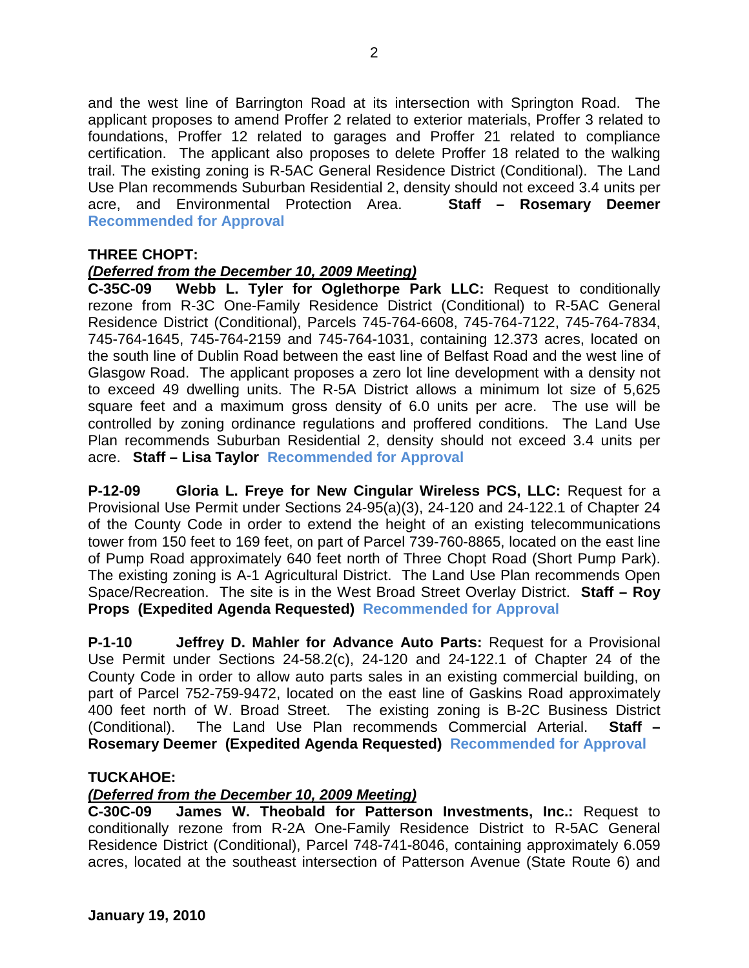and the west line of Barrington Road at its intersection with Springton Road. The applicant proposes to amend Proffer 2 related to exterior materials, Proffer 3 related to foundations, Proffer 12 related to garages and Proffer 21 related to compliance certification. The applicant also proposes to delete Proffer 18 related to the walking trail. The existing zoning is R-5AC General Residence District (Conditional). The Land Use Plan recommends Suburban Residential 2, density should not exceed 3.4 units per acre, and Environmental Protection Area. **Staff – Rosemary Deemer Recommended for Approval**

## **THREE CHOPT:**

## *(Deferred from the December 10, 2009 Meeting)*

**C-35C-09 Webb L. Tyler for Oglethorpe Park LLC:** Request to conditionally rezone from R-3C One-Family Residence District (Conditional) to R-5AC General Residence District (Conditional), Parcels 745-764-6608, 745-764-7122, 745-764-7834, 745-764-1645, 745-764-2159 and 745-764-1031, containing 12.373 acres, located on the south line of Dublin Road between the east line of Belfast Road and the west line of Glasgow Road. The applicant proposes a zero lot line development with a density not to exceed 49 dwelling units. The R-5A District allows a minimum lot size of 5,625 square feet and a maximum gross density of 6.0 units per acre. The use will be controlled by zoning ordinance regulations and proffered conditions. The Land Use Plan recommends Suburban Residential 2, density should not exceed 3.4 units per acre. **Staff – Lisa Taylor Recommended for Approval**

**P-12-09 Gloria L. Freye for New Cingular Wireless PCS, LLC:** Request for a Provisional Use Permit under Sections 24-95(a)(3), 24-120 and 24-122.1 of Chapter 24 of the County Code in order to extend the height of an existing telecommunications tower from 150 feet to 169 feet, on part of Parcel 739-760-8865, located on the east line of Pump Road approximately 640 feet north of Three Chopt Road (Short Pump Park). The existing zoning is A-1 Agricultural District. The Land Use Plan recommends Open Space/Recreation. The site is in the West Broad Street Overlay District. **Staff – Roy Props (Expedited Agenda Requested) Recommended for Approval**

**P-1-10 Jeffrey D. Mahler for Advance Auto Parts:** Request for a Provisional Use Permit under Sections 24-58.2(c), 24-120 and 24-122.1 of Chapter 24 of the County Code in order to allow auto parts sales in an existing commercial building, on part of Parcel 752-759-9472, located on the east line of Gaskins Road approximately 400 feet north of W. Broad Street. The existing zoning is B-2C Business District (Conditional). The Land Use Plan recommends Commercial Arterial. **Staff – Rosemary Deemer (Expedited Agenda Requested) Recommended for Approval**

### **TUCKAHOE:**

### *(Deferred from the December 10, 2009 Meeting)*

**C-30C-09 James W. Theobald for Patterson Investments, Inc.:** Request to conditionally rezone from R-2A One-Family Residence District to R-5AC General Residence District (Conditional), Parcel 748-741-8046, containing approximately 6.059 acres, located at the southeast intersection of Patterson Avenue (State Route 6) and